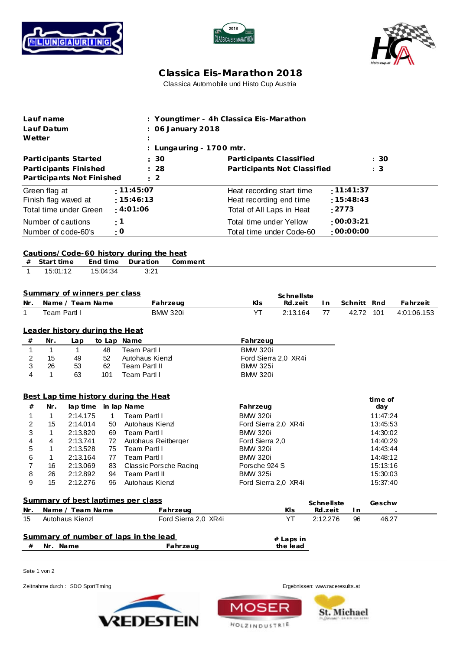





## **C lassica Eis-Marathon 2018** Classica Automobile und Histo Cup Austria

| Lauf name<br>Lauf Datum<br>Wetter         |                        |                                       |                      |                                  | : Youngtimer - 4h Classica Eis-Marathon<br>06 January 2018<br>Lungauring - 1700 mtr. |  |                                                                  |                           |            |  |             |          |             |
|-------------------------------------------|------------------------|---------------------------------------|----------------------|----------------------------------|--------------------------------------------------------------------------------------|--|------------------------------------------------------------------|---------------------------|------------|--|-------------|----------|-------------|
|                                           |                        | Participants Started                  |                      |                                  | 30                                                                                   |  |                                                                  | Participants Classified   |            |  |             | : 30     |             |
| Participants Finished<br>28               |                        |                                       |                      |                                  |                                                                                      |  | Participants Not Classified                                      |                           |            |  |             | : 3      |             |
|                                           |                        | Participants Not Finished             |                      |                                  | 2                                                                                    |  |                                                                  |                           |            |  |             |          |             |
|                                           | Green flag at          |                                       |                      | : 11:45:07                       |                                                                                      |  |                                                                  | Heat recording start time |            |  | :11:41:37   |          |             |
| Finish flag waved at                      |                        |                                       |                      | : 15:46:13                       |                                                                                      |  | :15:48:43<br>Heat recording end time                             |                           |            |  |             |          |             |
| Total time under Green                    |                        |                                       |                      | : 4:01:06                        |                                                                                      |  | : 2773<br>Total of All Laps in Heat                              |                           |            |  |             |          |             |
|                                           |                        |                                       |                      |                                  |                                                                                      |  |                                                                  |                           |            |  | :00:03:21   |          |             |
| Number of cautions<br>Number of code-60's |                        |                                       |                      | : 1<br>: 0                       |                                                                                      |  | Total time under Yellow<br>.00:00:00<br>Total time under Code-60 |                           |            |  |             |          |             |
|                                           |                        |                                       |                      |                                  |                                                                                      |  |                                                                  |                           |            |  |             |          |             |
| #<br>1                                    | Start time<br>15:01:12 |                                       | End time<br>15:04:34 | Duration<br>3:21                 | Cautions/Code-60 history during the heat<br>Comment                                  |  |                                                                  |                           |            |  |             |          |             |
|                                           |                        | Summary of winners per class          |                      |                                  |                                                                                      |  |                                                                  |                           |            |  |             |          |             |
| Nr.                                       |                        | Name / Team Name                      |                      |                                  | Fahrzeug                                                                             |  | Kls                                                              | Schnellste<br>Rd.zeit     | I n        |  | Schnitt Rnd |          | Fahrzeit    |
| 1                                         | Team Partl I           |                                       |                      |                                  | <b>BMW 320i</b>                                                                      |  | YT                                                               | 2:13.164                  | 77         |  | 42.72 101   |          | 4:01:06.153 |
|                                           |                        |                                       |                      |                                  |                                                                                      |  |                                                                  |                           |            |  |             |          |             |
|                                           |                        | Leader history during the Heat        |                      |                                  |                                                                                      |  |                                                                  |                           |            |  |             |          |             |
| #                                         | Nr.                    | Lap                                   |                      | to Lap Name                      |                                                                                      |  | Fahrzeug                                                         |                           |            |  |             |          |             |
| 1                                         | $\mathbf{1}$           | $\mathbf{1}$                          | 48                   | Team Partl I                     |                                                                                      |  | <b>BMW 320i</b>                                                  |                           |            |  |             |          |             |
| 2                                         | 15                     | 49                                    | 52                   | Autohaus Kienzl                  |                                                                                      |  |                                                                  | Ford Sierra 2,0 XR4i      |            |  |             |          |             |
| 3                                         | 26                     | 53                                    | 62                   | <b>Team Partl II</b>             |                                                                                      |  | <b>BMW 325i</b>                                                  |                           |            |  |             |          |             |
| 4                                         | $\mathbf{1}$           | 63                                    | 101                  | Team Partl I                     |                                                                                      |  | <b>BMW 320i</b>                                                  |                           |            |  |             |          |             |
|                                           |                        | Best Lap time history during the Heat |                      |                                  |                                                                                      |  |                                                                  |                           |            |  |             | time of  |             |
| #                                         | Nr.                    | lap time                              |                      | in lap Name                      |                                                                                      |  | Fahrzeug                                                         |                           |            |  |             | day      |             |
| 1                                         | $\mathbf{1}$           | 2:14.175                              | $\mathbf{1}$         | Team Partl I                     |                                                                                      |  | <b>BMW 320i</b>                                                  |                           |            |  |             | 11:47:24 |             |
| 2                                         | 15                     | 2:14.014                              | 50                   | Autohaus Kienzl                  |                                                                                      |  |                                                                  | Ford Sierra 2,0 XR4i      |            |  |             | 13:45:53 |             |
| 3                                         | 1                      | 2:13.820                              | 69                   | Team Partl I                     |                                                                                      |  | <b>BMW 320i</b>                                                  |                           |            |  |             | 14:30:02 |             |
| 4                                         | 4                      | 2:13.741                              | 72                   |                                  | Autohaus Reitberger                                                                  |  | Ford Sierra 2,0                                                  |                           |            |  |             | 14:40:29 |             |
| 5                                         | 1                      | 2:13.528                              | 75                   | Team Partl I                     |                                                                                      |  | <b>BMW 320i</b>                                                  |                           |            |  |             | 14:43:44 |             |
| 6                                         | $\mathbf{1}$           | 2:13.164                              | 77                   | Team Partl I                     |                                                                                      |  | <b>BMW 320i</b>                                                  |                           |            |  |             | 14:48:12 |             |
| 7                                         | 16                     | 2:13.069                              | 83                   |                                  | Classic Porsche Racing                                                               |  | Porsche 924 S                                                    |                           |            |  |             | 15:13:16 |             |
| 8<br>9                                    | 26<br>15               | 2:12.892<br>2:12.276                  | 94<br>96             | Team Partl II<br>Autohaus Kienzl |                                                                                      |  | <b>BMW 325i</b>                                                  | Ford Sierra 2,0 XR4i      |            |  |             | 15:30:03 |             |
|                                           |                        |                                       |                      |                                  |                                                                                      |  |                                                                  |                           |            |  |             | 15:37:40 |             |
|                                           |                        | Summary of best laptimes per class    |                      |                                  |                                                                                      |  |                                                                  |                           | Schnellste |  |             | Geschw   |             |
| Nr.                                       |                        | Name / Team Name                      |                      |                                  | Fahrzeug                                                                             |  |                                                                  | Kls                       | Rd.zeit    |  | I n         |          |             |
| 15                                        |                        | Autohaus Kienzl                       |                      |                                  | Ford Sierra 2,0 XR4i                                                                 |  |                                                                  | YT                        | 2:12.276   |  | 96          | 46.27    |             |
|                                           |                        |                                       |                      |                                  |                                                                                      |  |                                                                  |                           |            |  |             |          |             |
|                                           |                        | Summary of number of laps in the lead |                      |                                  |                                                                                      |  |                                                                  | # Laps in                 |            |  |             |          |             |
| #                                         | Nr. Name               |                                       |                      |                                  | Fahrzeug                                                                             |  |                                                                  | the lead                  |            |  |             |          |             |

MO

**HOLZINDUSTRIE** 

Seite 1 von 2

Zeitnahme durch : SDO SportTiming entertainment of the state of the state of the state of the Ergebnissen: [www.raceresults.a](www.raceresults.at)t